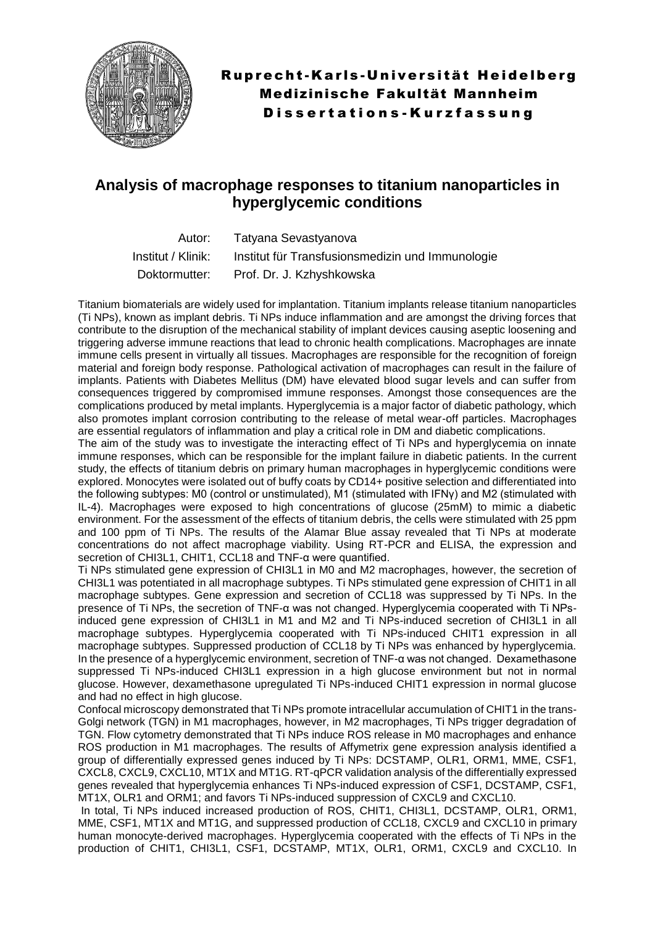

## **Analysis of macrophage responses to titanium nanoparticles in hyperglycemic conditions**

|                    | Autor: Tatyana Sevastyanova                      |
|--------------------|--------------------------------------------------|
| Institut / Klinik: | Institut für Transfusionsmedizin und Immunologie |
|                    | Doktormutter: Prof. Dr. J. Kzhyshkowska          |

Titanium biomaterials are widely used for implantation. Titanium implants release titanium nanoparticles (Ti NPs), known as implant debris. Ti NPs induce inflammation and are amongst the driving forces that contribute to the disruption of the mechanical stability of implant devices causing aseptic loosening and triggering adverse immune reactions that lead to chronic health complications. Macrophages are innate immune cells present in virtually all tissues. Macrophages are responsible for the recognition of foreign material and foreign body response. Pathological activation of macrophages can result in the failure of implants. Patients with Diabetes Mellitus (DM) have elevated blood sugar levels and can suffer from consequences triggered by compromised immune responses. Amongst those consequences are the complications produced by metal implants. Hyperglycemia is a major factor of diabetic pathology, which also promotes implant corrosion contributing to the release of metal wear-off particles. Macrophages are essential regulators of inflammation and play a critical role in DM and diabetic complications.

The aim of the study was to investigate the interacting effect of Ti NPs and hyperglycemia on innate immune responses, which can be responsible for the implant failure in diabetic patients. In the current study, the effects of titanium debris on primary human macrophages in hyperglycemic conditions were explored. Monocytes were isolated out of buffy coats by CD14+ positive selection and differentiated into the following subtypes: M0 (control or unstimulated), M1 (stimulated with IFNγ) and M2 (stimulated with IL-4). Macrophages were exposed to high concentrations of glucose (25mM) to mimic a diabetic environment. For the assessment of the effects of titanium debris, the cells were stimulated with 25 ppm and 100 ppm of Ti NPs. The results of the Alamar Blue assay revealed that Ti NPs at moderate concentrations do not affect macrophage viability. Using RT-PCR and ELISA, the expression and secretion of CHI3L1, CHIT1, CCL18 and TNF-α were quantified.

Ti NPs stimulated gene expression of CHI3L1 in M0 and M2 macrophages, however, the secretion of CHI3L1 was potentiated in all macrophage subtypes. Ti NPs stimulated gene expression of CHIT1 in all macrophage subtypes. Gene expression and secretion of CCL18 was suppressed by Ti NPs. In the presence of Ti NPs, the secretion of TNF-α was not changed. Hyperglycemia cooperated with Ti NPsinduced gene expression of CHI3L1 in M1 and M2 and Ti NPs-induced secretion of CHI3L1 in all macrophage subtypes. Hyperglycemia cooperated with Ti NPs-induced CHIT1 expression in all macrophage subtypes. Suppressed production of CCL18 by Ti NPs was enhanced by hyperglycemia. In the presence of a hyperglycemic environment, secretion of TNF-α was not changed. Dexamethasone suppressed Ti NPs-induced CHI3L1 expression in a high glucose environment but not in normal glucose. However, dexamethasone upregulated Ti NPs-induced CHIT1 expression in normal glucose and had no effect in high glucose.

Confocal microscopy demonstrated that Ti NPs promote intracellular accumulation of CHIT1 in the trans-Golgi network (TGN) in M1 macrophages, however, in M2 macrophages, Ti NPs trigger degradation of TGN. Flow cytometry demonstrated that Ti NPs induce ROS release in M0 macrophages and enhance ROS production in M1 macrophages. The results of Affymetrix gene expression analysis identified a group of differentially expressed genes induced by Ti NPs: DCSTAMP, OLR1, ORM1, MME, CSF1, CXCL8, CXCL9, CXCL10, MT1X and MT1G. RT-qPCR validation analysis of the differentially expressed genes revealed that hyperglycemia enhances Ti NPs-induced expression of CSF1, DCSTAMP, CSF1, MT1X, OLR1 and ORM1; and favors Ti NPs-induced suppression of CXCL9 and CXCL10.

In total, Ti NPs induced increased production of ROS, CHIT1, CHI3L1, DCSTAMP, OLR1, ORM1, MME, CSF1, MT1X and MT1G, and suppressed production of CCL18, CXCL9 and CXCL10 in primary human monocyte-derived macrophages. Hyperglycemia cooperated with the effects of Ti NPs in the production of CHIT1, CHI3L1, CSF1, DCSTAMP, MT1X, OLR1, ORM1, CXCL9 and CXCL10. In